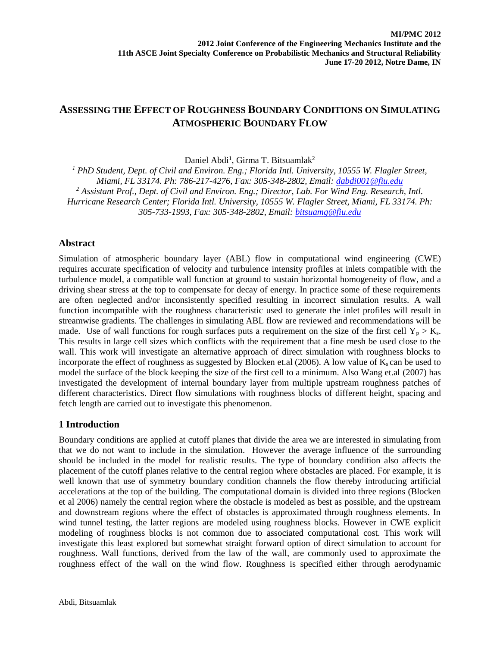# **ASSESSING THE EFFECT OF ROUGHNESS BOUNDARY CONDITIONS ON SIMULATING ATMOSPHERIC BOUNDARY FLOW**

Daniel Abdi<sup>1</sup>, Girma T. Bitsuamlak<sup>2</sup>

*<sup>1</sup> PhD Student, Dept. of Civil and Environ. Eng.; Florida Intl. University, 10555 W. Flagler Street, Miami, FL 33174. Ph: 786-217-4276, Fax: 305-348-2802, Email: [dabdi001@fiu.edu](mailto:dabdi001@fiu.edu) <sup>2</sup> Assistant Prof., Dept. of Civil and Environ. Eng.; Director, Lab. For Wind Eng. Research, Intl. Hurricane Research Center; Florida Intl. University, 10555 W. Flagler Street, Miami, FL 33174. Ph: 305-733-1993, Fax: 305-348-2802, Email: [bitsuamg@fiu.edu](mailto:bitsuamg@fiu.edu)*

## **Abstract**

Simulation of atmospheric boundary layer (ABL) flow in computational wind engineering (CWE) requires accurate specification of velocity and turbulence intensity profiles at inlets compatible with the turbulence model, a compatible wall function at ground to sustain horizontal homogeneity of flow, and a driving shear stress at the top to compensate for decay of energy. In practice some of these requirements are often neglected and/or inconsistently specified resulting in incorrect simulation results. A wall function incompatible with the roughness characteristic used to generate the inlet profiles will result in streamwise gradients. The challenges in simulating ABL flow are reviewed and recommendations will be made. Use of wall functions for rough surfaces puts a requirement on the size of the first cell  $Y_p > K_s$ . This results in large cell sizes which conflicts with the requirement that a fine mesh be used close to the wall. This work will investigate an alternative approach of direct simulation with roughness blocks to incorporate the effect of roughness as suggested by Blocken et.al (2006). A low value of  $K_s$  can be used to model the surface of the block keeping the size of the first cell to a minimum. Also Wang et.al (2007) has investigated the development of internal boundary layer from multiple upstream roughness patches of different characteristics. Direct flow simulations with roughness blocks of different height, spacing and fetch length are carried out to investigate this phenomenon.

## **1 Introduction**

Boundary conditions are applied at cutoff planes that divide the area we are interested in simulating from that we do not want to include in the simulation. However the average influence of the surrounding should be included in the model for realistic results. The type of boundary condition also affects the placement of the cutoff planes relative to the central region where obstacles are placed. For example, it is well known that use of symmetry boundary condition channels the flow thereby introducing artificial accelerations at the top of the building. The computational domain is divided into three regions (Blocken et al 2006) namely the central region where the obstacle is modeled as best as possible, and the upstream and downstream regions where the effect of obstacles is approximated through roughness elements. In wind tunnel testing, the latter regions are modeled using roughness blocks. However in CWE explicit modeling of roughness blocks is not common due to associated computational cost. This work will investigate this least explored but somewhat straight forward option of direct simulation to account for roughness. Wall functions, derived from the law of the wall, are commonly used to approximate the roughness effect of the wall on the wind flow. Roughness is specified either through aerodynamic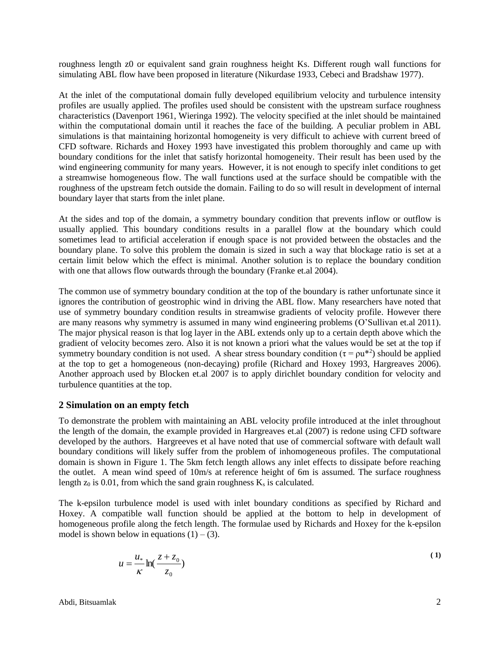roughness length z0 or equivalent sand grain roughness height Ks. Different rough wall functions for simulating ABL flow have been proposed in literature (Nikurdase 1933, Cebeci and Bradshaw 1977).

At the inlet of the computational domain fully developed equilibrium velocity and turbulence intensity profiles are usually applied. The profiles used should be consistent with the upstream surface roughness characteristics (Davenport 1961, Wieringa 1992). The velocity specified at the inlet should be maintained within the computational domain until it reaches the face of the building. A peculiar problem in ABL simulations is that maintaining horizontal homogeneity is very difficult to achieve with current breed of CFD software. Richards and Hoxey 1993 have investigated this problem thoroughly and came up with boundary conditions for the inlet that satisfy horizontal homogeneity. Their result has been used by the wind engineering community for many years. However, it is not enough to specify inlet conditions to get a streamwise homogeneous flow. The wall functions used at the surface should be compatible with the roughness of the upstream fetch outside the domain. Failing to do so will result in development of internal boundary layer that starts from the inlet plane.

At the sides and top of the domain, a symmetry boundary condition that prevents inflow or outflow is usually applied. This boundary conditions results in a parallel flow at the boundary which could sometimes lead to artificial acceleration if enough space is not provided between the obstacles and the boundary plane. To solve this problem the domain is sized in such a way that blockage ratio is set at a certain limit below which the effect is minimal. Another solution is to replace the boundary condition with one that allows flow outwards through the boundary (Franke et.al 2004).

The common use of symmetry boundary condition at the top of the boundary is rather unfortunate since it ignores the contribution of geostrophic wind in driving the ABL flow. Many researchers have noted that use of symmetry boundary condition results in streamwise gradients of velocity profile. However there are many reasons why symmetry is assumed in many wind engineering problems (O'Sullivan et.al 2011). The major physical reason is that log layer in the ABL extends only up to a certain depth above which the gradient of velocity becomes zero. Also it is not known a priori what the values would be set at the top if symmetry boundary condition is not used. A shear stress boundary condition ( $\tau = \rho u^{*2}$ ) should be applied at the top to get a homogeneous (non-decaying) profile (Richard and Hoxey 1993, Hargreaves 2006). Another approach used by Blocken et.al 2007 is to apply dirichlet boundary condition for velocity and turbulence quantities at the top.

### **2 Simulation on an empty fetch**

To demonstrate the problem with maintaining an ABL velocity profile introduced at the inlet throughout the length of the domain, the example provided in Hargreaves et.al (2007) is redone using CFD software developed by the authors. Hargreeves et al have noted that use of commercial software with default wall boundary conditions will likely suffer from the problem of inhomogeneous profiles. The computational domain is shown in [Figure 1.](#page-2-0) The 5km fetch length allows any inlet effects to dissipate before reaching the outlet. A mean wind speed of 10m/s at reference height of 6m is assumed. The surface roughness length  $z_0$  is 0.01, from which the sand grain roughness  $K_s$  is calculated.

The k-epsilon turbulence model is used with inlet boundary conditions as specified by Richard and Hoxey. A compatible wall function should be applied at the bottom to help in development of homogeneous profile along the fetch length. The formulae used by Richards and Hoxey for the k-epsilon model is shown below in equations  $(1) - (3)$ .

$$
u = \frac{u_*}{\kappa} \ln(\frac{z + z_0}{z_0})
$$
 (1)

Abdi, Bitsuamlak 2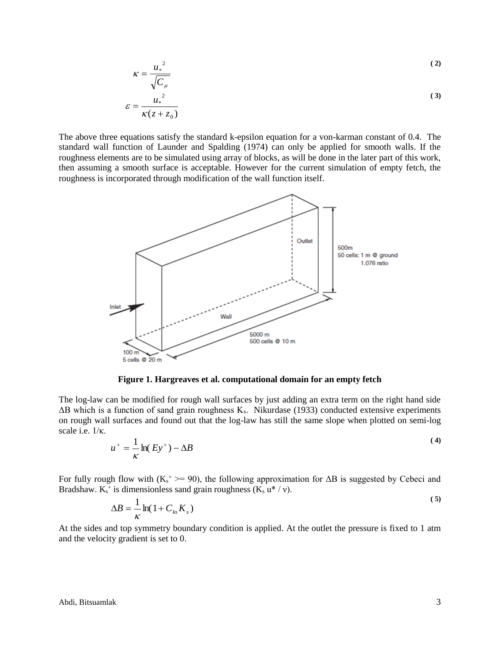$$
\kappa = \frac{u_*^2}{\sqrt{C_\mu}}
$$
\n
$$
\varepsilon = \frac{u_*^2}{\kappa(z + z_0)}
$$
\n(3)

The above three equations satisfy the standard k-epsilon equation for a von-karman constant of 0.4. The standard wall function of Launder and Spalding (1974) can only be applied for smooth walls. If the roughness elements are to be simulated using array of blocks, as will be done in the later part of this work, then assuming a smooth surface is acceptable. However for the current simulation of empty fetch, the roughness is incorporated through modification of the wall function itself.



**Figure 1. Hargreaves et al. computational domain for an empty fetch**

<span id="page-2-0"></span>The log-law can be modified for rough wall surfaces by just adding an extra term on the right hand side  $\Delta$ B which is a function of sand grain roughness K<sub>s</sub>. Nikurdase (1933) conducted extensive experiments on rough wall surfaces and found out that the log-law has still the same slope when plotted on semi-log scale i.e. 1/κ.

$$
u^+ = \frac{1}{\kappa} \ln(Ey^+) - \Delta B \tag{4}
$$

For fully rough flow with  $(K_s^+ \geq 90)$ , the following approximation for  $\Delta B$  is suggested by Cebeci and Bradshaw.  $K_s^+$  is dimensionless sand grain roughness  $(K_s u^* / v)$ . **( 5)**

$$
\Delta B = \frac{1}{\kappa} \ln(1 + C_{ks} K_s)
$$

At the sides and top symmetry boundary condition is applied. At the outlet the pressure is fixed to 1 atm and the velocity gradient is set to 0.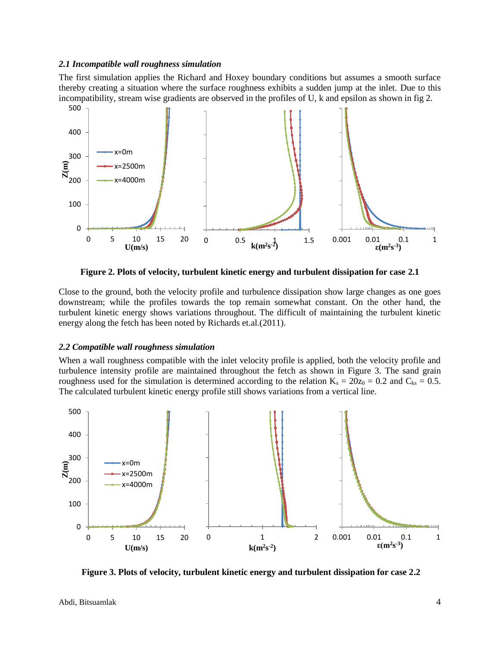#### *2.1 Incompatible wall roughness simulation*

The first simulation applies the Richard and Hoxey boundary conditions but assumes a smooth surface thereby creating a situation where the surface roughness exhibits a sudden jump at the inlet. Due to this incompatibility, stream wise gradients are observed in the profiles of U, k and epsilon as shown in fig 2.



**Figure 2. Plots of velocity, turbulent kinetic energy and turbulent dissipation for case 2.1**

Close to the ground, both the velocity profile and turbulence dissipation show large changes as one goes downstream; while the profiles towards the top remain somewhat constant. On the other hand, the turbulent kinetic energy shows variations throughout. The difficult of maintaining the turbulent kinetic energy along the fetch has been noted by Richards et.al.(2011).

#### *2.2 Compatible wall roughness simulation*

When a wall roughness compatible with the inlet velocity profile is applied, both the velocity profile and turbulence intensity profile are maintained throughout the fetch as shown in Figure 3. The sand grain roughness used for the simulation is determined according to the relation  $K_s = 20z_0 = 0.2$  and  $C_{ks} = 0.5$ . The calculated turbulent kinetic energy profile still shows variations from a vertical line.



**Figure 3. Plots of velocity, turbulent kinetic energy and turbulent dissipation for case 2.2**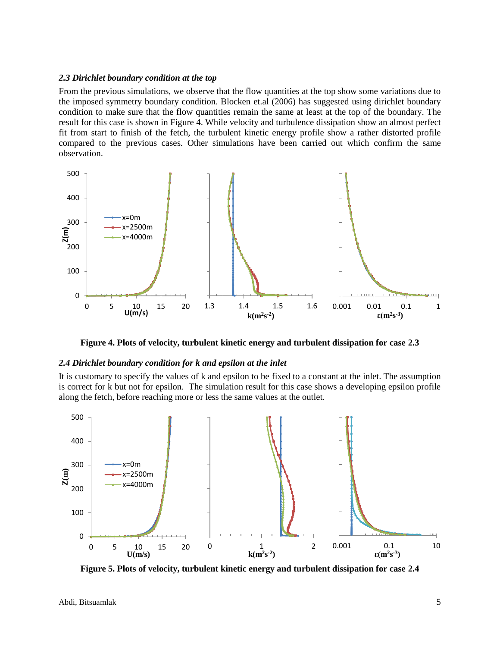#### *2.3 Dirichlet boundary condition at the top*

From the previous simulations, we observe that the flow quantities at the top show some variations due to the imposed symmetry boundary condition. Blocken et.al (2006) has suggested using dirichlet boundary condition to make sure that the flow quantities remain the same at least at the top of the boundary. The result for this case is shown in Figure 4. While velocity and turbulence dissipation show an almost perfect fit from start to finish of the fetch, the turbulent kinetic energy profile show a rather distorted profile compared to the previous cases. Other simulations have been carried out which confirm the same observation.



**Figure 4. Plots of velocity, turbulent kinetic energy and turbulent dissipation for case 2.3**

#### *2.4 Dirichlet boundary condition for k and epsilon at the inlet*

It is customary to specify the values of k and epsilon to be fixed to a constant at the inlet. The assumption is correct for k but not for epsilon. The simulation result for this case shows a developing epsilon profile along the fetch, before reaching more or less the same values at the outlet.



**Figure 5. Plots of velocity, turbulent kinetic energy and turbulent dissipation for case 2.4**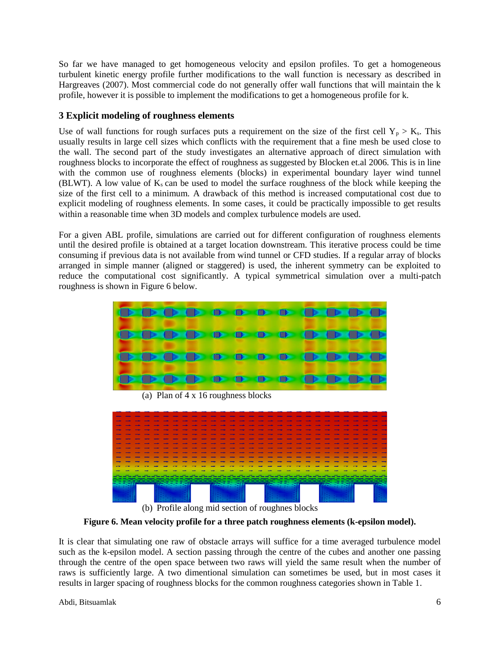So far we have managed to get homogeneous velocity and epsilon profiles. To get a homogeneous turbulent kinetic energy profile further modifications to the wall function is necessary as described in Hargreaves (2007). Most commercial code do not generally offer wall functions that will maintain the k profile, however it is possible to implement the modifications to get a homogeneous profile for k.

## **3 Explicit modeling of roughness elements**

Use of wall functions for rough surfaces puts a requirement on the size of the first cell  $Y_p > K_s$ . This usually results in large cell sizes which conflicts with the requirement that a fine mesh be used close to the wall. The second part of the study investigates an alternative approach of direct simulation with roughness blocks to incorporate the effect of roughness as suggested by Blocken et.al 2006. This is in line with the common use of roughness elements (blocks) in experimental boundary layer wind tunnel (BLWT). A low value of  $K_s$  can be used to model the surface roughness of the block while keeping the size of the first cell to a minimum. A drawback of this method is increased computational cost due to explicit modeling of roughness elements. In some cases, it could be practically impossible to get results within a reasonable time when 3D models and complex turbulence models are used.

For a given ABL profile, simulations are carried out for different configuration of roughness elements until the desired profile is obtained at a target location downstream. This iterative process could be time consuming if previous data is not available from wind tunnel or CFD studies. If a regular array of blocks arranged in simple manner (aligned or staggered) is used, the inherent symmetry can be exploited to reduce the computational cost significantly. A typical symmetrical simulation over a multi-patch roughness is shown in Figure 6 below.



(a) Plan of 4 x 16 roughness blocks



(b) Profile along mid section of roughnes blocks

**Figure 6. Mean velocity profile for a three patch roughness elements (k-epsilon model).**

It is clear that simulating one raw of obstacle arrays will suffice for a time averaged turbulence model such as the k-epsilon model. A section passing through the centre of the cubes and another one passing through the centre of the open space between two raws will yield the same result when the number of raws is sufficiently large. A two dimentional simulation can sometimes be used, but in most cases it results in larger spacing of roughness blocks for the common roughness categories shown in Table 1.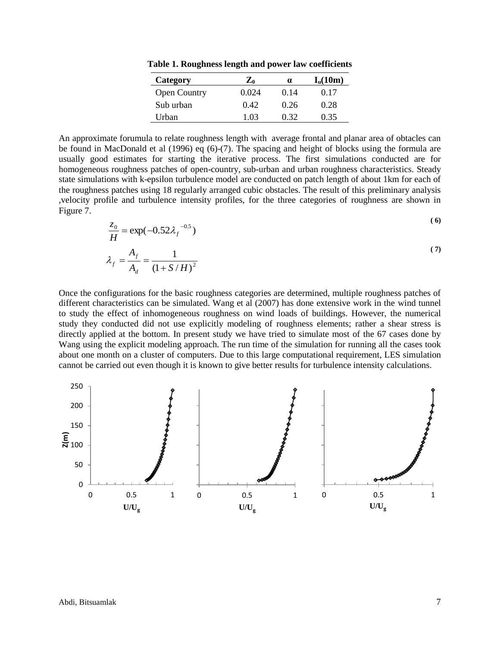**Table 1. Roughness length and power law coefficients** 

| Category            | $\mathbf{Z}_0$ | α    | $I_{\rm u}(10{\rm m})$ |
|---------------------|----------------|------|------------------------|
| <b>Open Country</b> | 0.024          | 0.14 | 0.17                   |
| Sub urban           | 0.42           | 0.26 | 0.28                   |
| Urban               | 1 03           | 0.32 | 0.35                   |

An approximate forumula to relate roughness length with average frontal and planar area of obtacles can be found in MacDonald et al (1996) eq (6)-(7). The spacing and height of blocks using the formula are usually good estimates for starting the iterative process. The first simulations conducted are for homogeneous roughness patches of open-country, sub-urban and urban roughness characteristics. Steady state simulations with k-epsilon turbulence model are conducted on patch length of about 1km for each of the roughness patches using 18 regularly arranged cubic obstacles. The result of this preliminary analysis ,velocity profile and turbulence intensity profiles, for the three categories of roughness are shown in Figure 7. **( 6)**

$$
\frac{z_0}{H} = \exp(-0.52\lambda_f^{-0.5})
$$
\n(6)

$$
\lambda_f = \frac{A_f}{A_d} = \frac{1}{(1 + S/H)^2}
$$
 (7)

Once the configurations for the basic roughness categories are determined, multiple roughness patches of different characteristics can be simulated. Wang et al (2007) has done extensive work in the wind tunnel to study the effect of inhomogeneous roughness on wind loads of buildings. However, the numerical study they conducted did not use explicitly modeling of roughness elements; rather a shear stress is directly applied at the bottom. In present study we have tried to simulate most of the 67 cases done by Wang using the explicit modeling approach. The run time of the simulation for running all the cases took about one month on a cluster of computers. Due to this large computational requirement, LES simulation cannot be carried out even though it is known to give better results for turbulence intensity calculations.

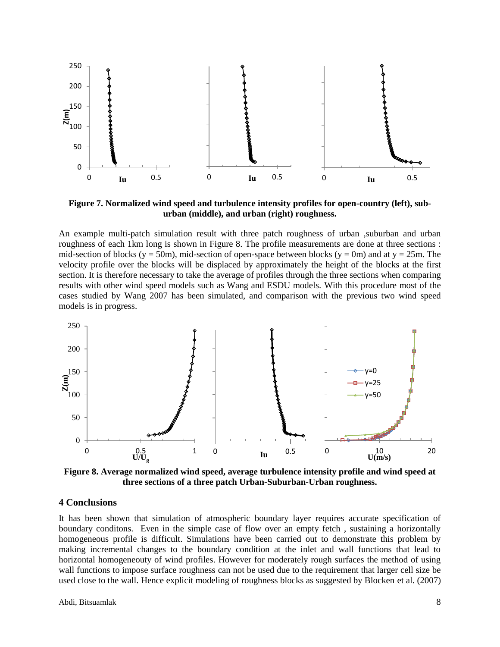

**Figure 7. Normalized wind speed and turbulence intensity profiles for open-country (left), suburban (middle), and urban (right) roughness.**

An example multi-patch simulation result with three patch roughness of urban , suburban and urban roughness of each 1km long is shown in Figure 8. The profile measurements are done at three sections : mid-section of blocks (y = 50m), mid-section of open-space between blocks (y = 0m) and at y = 25m. The velocity profile over the blocks will be displaced by approximately the height of the blocks at the first section. It is therefore necessary to take the average of profiles through the three sections when comparing results with other wind speed models such as Wang and ESDU models. With this procedure most of the cases studied by Wang 2007 has been simulated, and comparison with the previous two wind speed models is in progress.



**Figure 8. Average normalized wind speed, average turbulence intensity profile and wind speed at three sections of a three patch Urban-Suburban-Urban roughness.**

### **4 Conclusions**

It has been shown that simulation of atmospheric boundary layer requires accurate specification of boundary conditons. Even in the simple case of flow over an empty fetch , sustaining a horizontally homogeneous profile is difficult. Simulations have been carried out to demonstrate this problem by making incremental changes to the boundary condition at the inlet and wall functions that lead to horizontal homogeneouty of wind profiles. However for moderately rough surfaces the method of using wall functions to impose surface roughness can not be used due to the requirement that larger cell size be used close to the wall. Hence explicit modeling of roughness blocks as suggested by Blocken et al. (2007)